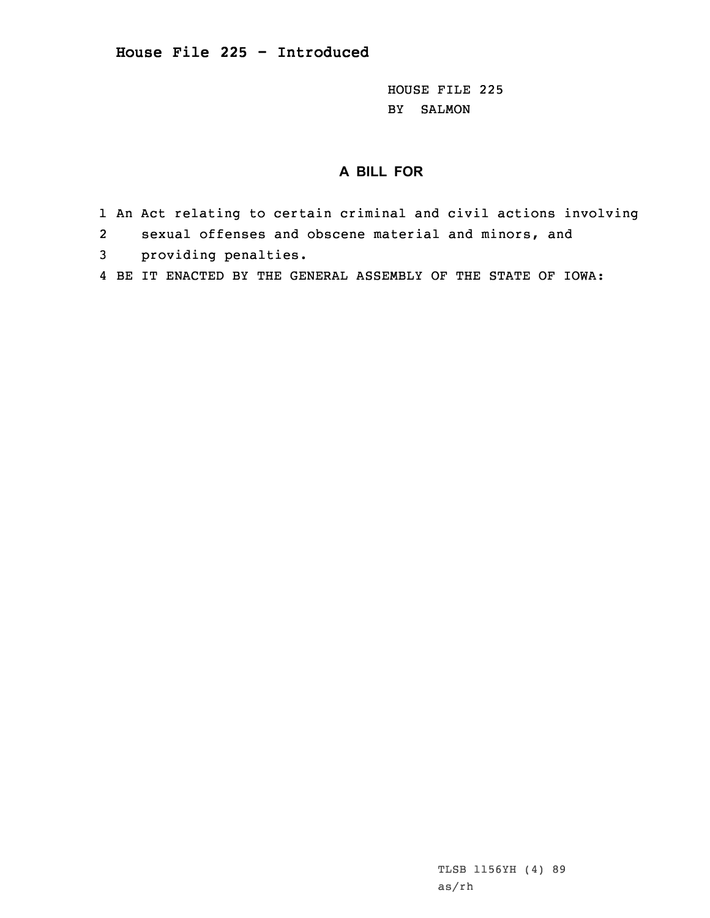**House File 225 - Introduced**

HOUSE FILE 225 BY SALMON

## **A BILL FOR**

- 1 An Act relating to certain criminal and civil actions involving
- 2sexual offenses and obscene material and minors, and
- 3 providing penalties.
- 4 BE IT ENACTED BY THE GENERAL ASSEMBLY OF THE STATE OF IOWA: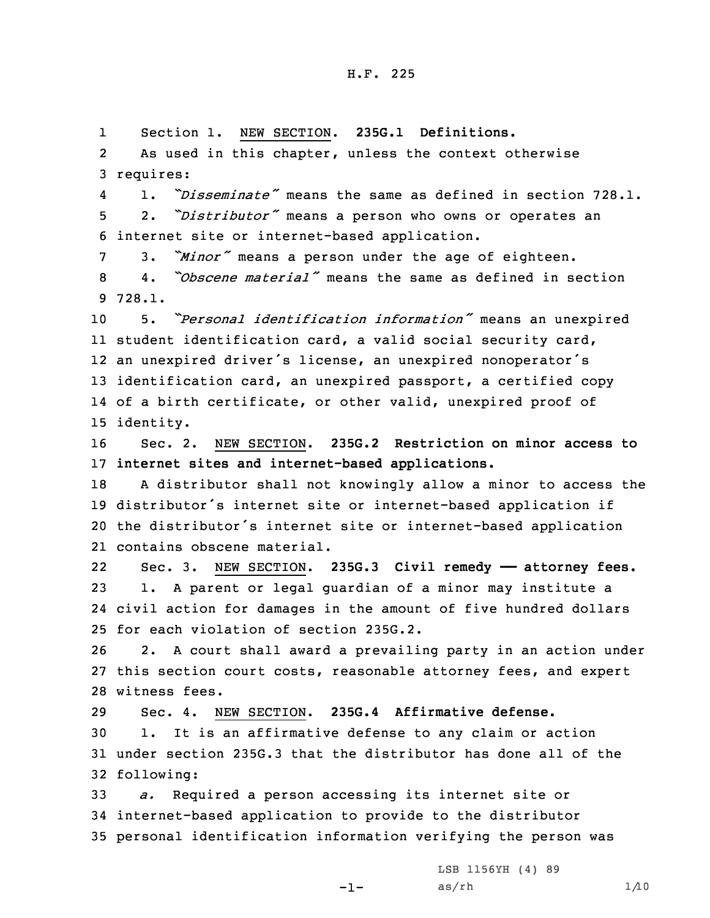1Section 1. NEW SECTION. **235G.1 Definitions.**

2 As used in this chapter, unless the context otherwise 3 requires:

4 1. *"Disseminate"* means the same as defined in section 728.1. <sup>5</sup> 2. *"Distributor"* means <sup>a</sup> person who owns or operates an 6 internet site or internet-based application.

<sup>7</sup> 3. *"Minor"* means <sup>a</sup> person under the age of eighteen.

8 4. *"Obscene material"* means the same as defined in section 9 728.1.

 5. *"Personal identification information"* means an unexpired student identification card, <sup>a</sup> valid social security card, an unexpired driver's license, an unexpired nonoperator's identification card, an unexpired passport, <sup>a</sup> certified copy of <sup>a</sup> birth certificate, or other valid, unexpired proof of identity.

16 Sec. 2. NEW SECTION. **235G.2 Restriction on minor access to** 17 **internet sites and internet-based applications.**

 <sup>A</sup> distributor shall not knowingly allow <sup>a</sup> minor to access the distributor's internet site or internet-based application if the distributor's internet site or internet-based application contains obscene material.

22 Sec. 3. NEW SECTION. **235G.3 Civil remedy —— attorney fees.** 23 1. <sup>A</sup> parent or legal guardian of <sup>a</sup> minor may institute <sup>a</sup> 24 civil action for damages in the amount of five hundred dollars 25 for each violation of section 235G.2.

26 2. <sup>A</sup> court shall award <sup>a</sup> prevailing party in an action under 27 this section court costs, reasonable attorney fees, and expert 28 witness fees.

 Sec. 4. NEW SECTION. **235G.4 Affirmative defense.** 1. It is an affirmative defense to any claim or action under section 235G.3 that the distributor has done all of the following:

33 *a.* Required <sup>a</sup> person accessing its internet site or 34 internet-based application to provide to the distributor 35 personal identification information verifying the person was

-1-

LSB 1156YH (4) 89  $as/rh$   $1/10$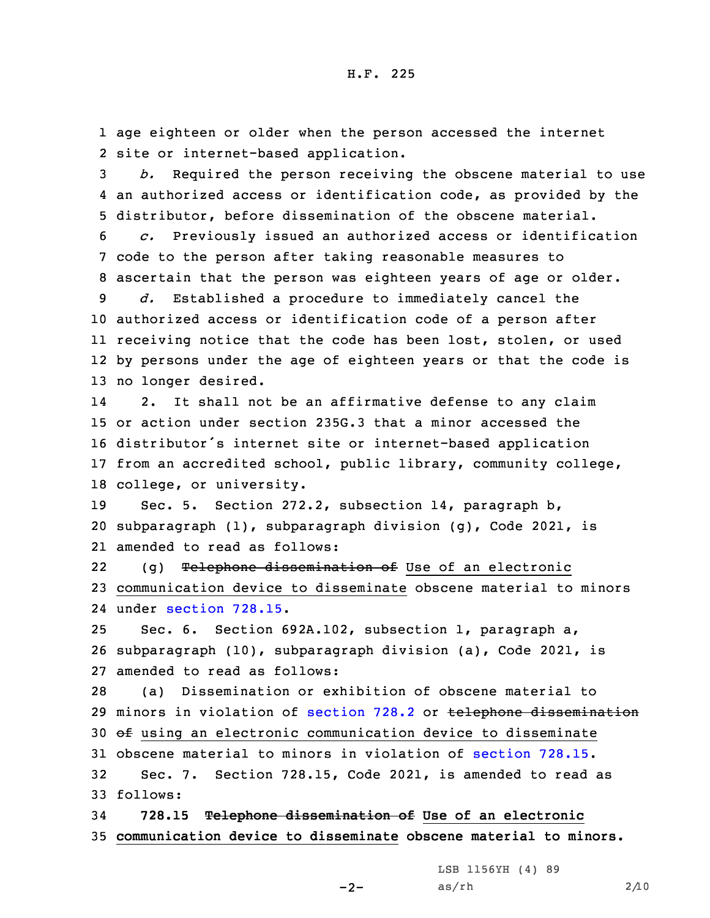1 age eighteen or older when the person accessed the internet 2 site or internet-based application.

3 *b.* Required the person receiving the obscene material to use 4 an authorized access or identification code, as provided by the 5 distributor, before dissemination of the obscene material.

6 *c.* Previously issued an authorized access or identification 7 code to the person after taking reasonable measures to 8 ascertain that the person was eighteen years of age or older.

 *d.* Established <sup>a</sup> procedure to immediately cancel the authorized access or identification code of <sup>a</sup> person after receiving notice that the code has been lost, stolen, or used by persons under the age of eighteen years or that the code is no longer desired.

14 2. It shall not be an affirmative defense to any claim or action under section 235G.3 that <sup>a</sup> minor accessed the distributor's internet site or internet-based application from an accredited school, public library, community college, college, or university.

19 Sec. 5. Section 272.2, subsection 14, paragraph b, 20 subparagraph (1), subparagraph division (g), Code 2021, is 21 amended to read as follows:

22(g) Telephone dissemination of Use of an electronic 23 communication device to disseminate obscene material to minors 24 under [section](https://www.legis.iowa.gov/docs/code/2021/728.15.pdf) 728.15.

25 Sec. 6. Section 692A.102, subsection 1, paragraph a, 26 subparagraph (10), subparagraph division (a), Code 2021, is 27 amended to read as follows:

28 (a) Dissemination or exhibition of obscene material to 29 minors in violation of [section](https://www.legis.iowa.gov/docs/code/2021/728.2.pdf) 728.2 or telephone dissemination 30 of using an electronic communication device to disseminate 31 obscene material to minors in violation of [section](https://www.legis.iowa.gov/docs/code/2021/728.15.pdf) 728.15. 32 Sec. 7. Section 728.15, Code 2021, is amended to read as 33 follows:

34 **728.15 Telephone dissemination of Use of an electronic** 35 **communication device to disseminate obscene material to minors.**

 $-2-$ 

LSB 1156YH (4) 89  $as/rh$  2/10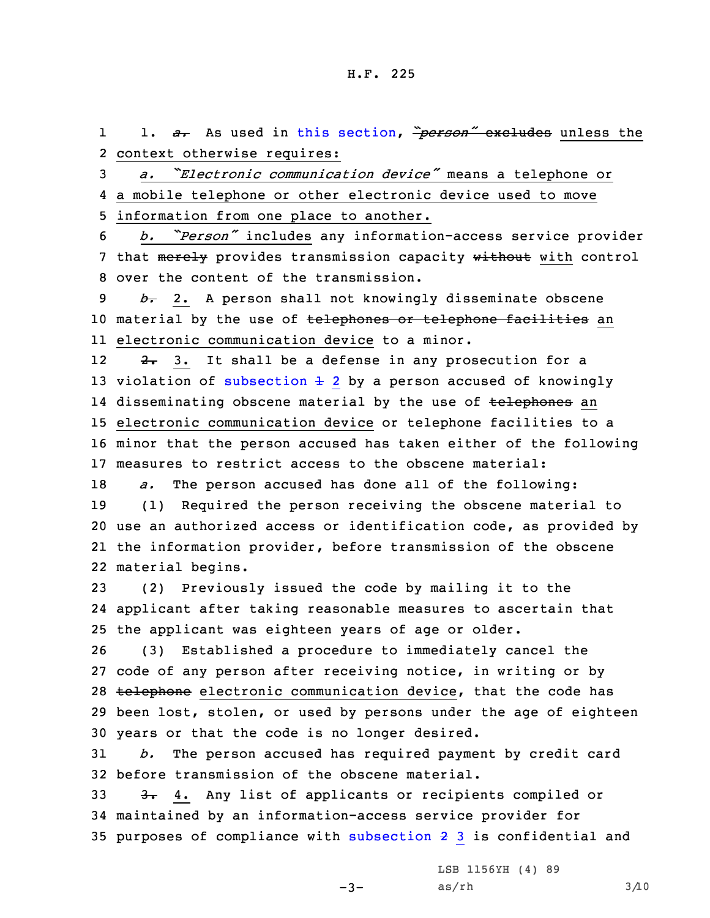1 1. *a.* As used in this [section](https://www.legis.iowa.gov/docs/code/2021/728.15.pdf), *"person"* excludes unless the 2 context otherwise requires:

<sup>3</sup> *a. "Electronic communication device"* means <sup>a</sup> telephone or 4 <sup>a</sup> mobile telephone or other electronic device used to move 5 information from one place to another.

<sup>6</sup> *b. "Person"* includes any information-access service provider 7 that merely provides transmission capacity without with control 8 over the content of the transmission.

9 *b.* 2. <sup>A</sup> person shall not knowingly disseminate obscene 10 material by the use of telephones or telephone facilities an 11 electronic communication device to <sup>a</sup> minor.

122. 3. It shall be a defense in any prosecution for a 13 violation of [subsection](https://www.legis.iowa.gov/docs/code/2021/728.15.pdf)  $\pm$  2 by a person accused of knowingly 14 disseminating obscene material by the use of <del>telephones</del> an 15 electronic communication device or telephone facilities to <sup>a</sup> 16 minor that the person accused has taken either of the following 17 measures to restrict access to the obscene material:

 *a.* The person accused has done all of the following: (1) Required the person receiving the obscene material to use an authorized access or identification code, as provided by the information provider, before transmission of the obscene material begins.

23 (2) Previously issued the code by mailing it to the 24 applicant after taking reasonable measures to ascertain that 25 the applicant was eighteen years of age or older.

 (3) Established <sup>a</sup> procedure to immediately cancel the code of any person after receiving notice, in writing or by 28 telephone electronic communication device, that the code has been lost, stolen, or used by persons under the age of eighteen years or that the code is no longer desired.

31 *b.* The person accused has required payment by credit card 32 before transmission of the obscene material.

33 3. 4. Any list of applicants or recipients compiled or 34 maintained by an information-access service provider for 35 purposes of compliance with [subsection](https://www.legis.iowa.gov/docs/code/2021/728.15.pdf) 2 3 is confidential and

 $-3-$ 

LSB 1156YH (4) 89  $as/rh$   $3/10$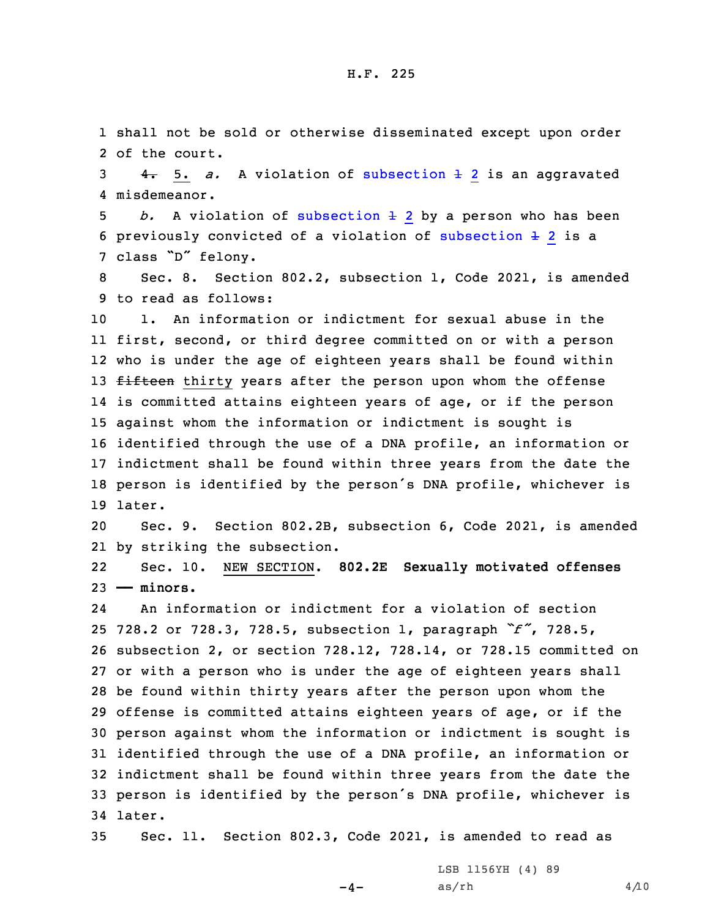1 shall not be sold or otherwise disseminated except upon order 2 of the court.

 $3$   $4.5. a.$  A violation of [subsection](https://www.legis.iowa.gov/docs/code/2021/728.15.pdf)  $\pm$  2 is an aggravated 4 misdemeanor.

5 *b.* A violation of [subsection](https://www.legis.iowa.gov/docs/code/2021/728.15.pdf)  $\pm$  2 by a person who has been 6 previously convicted of a violation of [subsection](https://www.legis.iowa.gov/docs/code/2021/728.15.pdf)  $\pm$  2 is a <sup>7</sup> class "D" felony.

8 Sec. 8. Section 802.2, subsection 1, Code 2021, is amended 9 to read as follows:

 1. An information or indictment for sexual abuse in the first, second, or third degree committed on or with <sup>a</sup> person who is under the age of eighteen years shall be found within 13 fifteen thirty years after the person upon whom the offense is committed attains eighteen years of age, or if the person against whom the information or indictment is sought is identified through the use of <sup>a</sup> DNA profile, an information or indictment shall be found within three years from the date the person is identified by the person's DNA profile, whichever is 19 later.

20 Sec. 9. Section 802.2B, subsection 6, Code 2021, is amended 21 by striking the subsection.

22 Sec. 10. NEW SECTION. **802.2E Sexually motivated offenses** 23 **—— minors.**

24 An information or indictment for <sup>a</sup> violation of section 728.2 or 728.3, 728.5, subsection 1, paragraph *"f"*, 728.5, subsection 2, or section 728.12, 728.14, or 728.15 committed on or with <sup>a</sup> person who is under the age of eighteen years shall be found within thirty years after the person upon whom the offense is committed attains eighteen years of age, or if the person against whom the information or indictment is sought is identified through the use of <sup>a</sup> DNA profile, an information or indictment shall be found within three years from the date the person is identified by the person's DNA profile, whichever is 34 later.

35 Sec. 11. Section 802.3, Code 2021, is amended to read as

 $-4-$ 

LSB 1156YH (4) 89  $as/rh$  4/10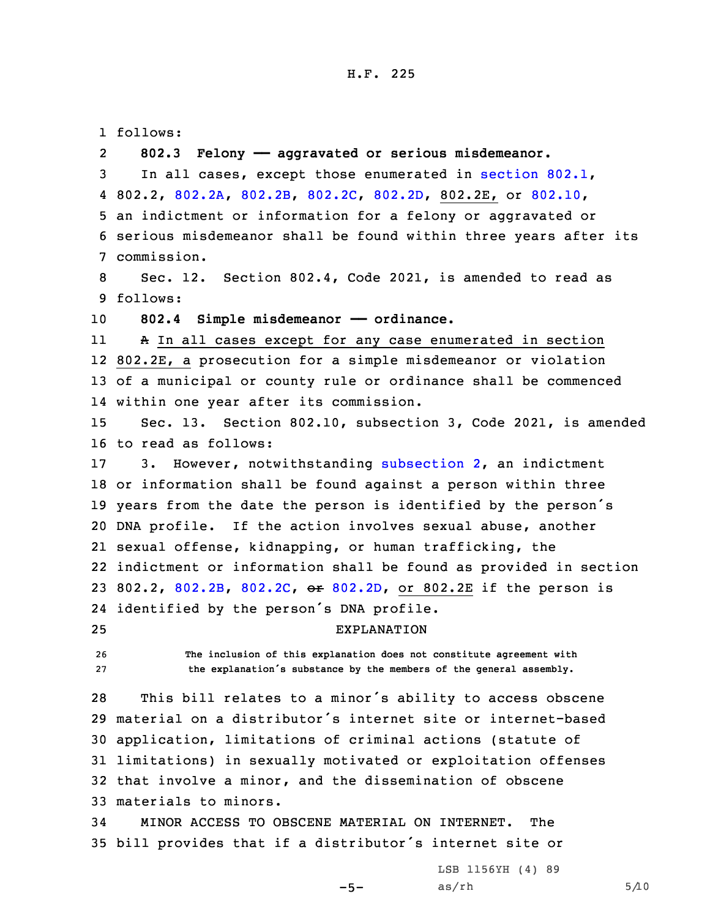1 follows: 2 **802.3 Felony —— aggravated or serious misdemeanor.** In all cases, except those enumerated in [section](https://www.legis.iowa.gov/docs/code/2021/802.1.pdf) 802.1, 802.2, [802.2A](https://www.legis.iowa.gov/docs/code/2021/802.2A.pdf), [802.2B](https://www.legis.iowa.gov/docs/code/2021/802.2B.pdf), [802.2C](https://www.legis.iowa.gov/docs/code/2021/802.2C.pdf), [802.2D](https://www.legis.iowa.gov/docs/code/2021/802.2D.pdf), 802.2E, or [802.10](https://www.legis.iowa.gov/docs/code/2021/802.10.pdf), an indictment or information for <sup>a</sup> felony or aggravated or serious misdemeanor shall be found within three years after its commission. Sec. 12. Section 802.4, Code 2021, is amended to read as 9 follows: **802.4 Simple misdemeanor —— ordinance.** 11 <sup>A</sup> In all cases except for any case enumerated in section 802.2E, <sup>a</sup> prosecution for <sup>a</sup> simple misdemeanor or violation of <sup>a</sup> municipal or county rule or ordinance shall be commenced within one year after its commission. Sec. 13. Section 802.10, subsection 3, Code 2021, is amended to read as follows: 3. However, notwithstanding [subsection](https://www.legis.iowa.gov/docs/code/2021/802.10.pdf) 2, an indictment or information shall be found against <sup>a</sup> person within three years from the date the person is identified by the person's DNA profile. If the action involves sexual abuse, another sexual offense, kidnapping, or human trafficking, the indictment or information shall be found as provided in section 802.2, [802.2B](https://www.legis.iowa.gov/docs/code/2021/802.2B.pdf), [802.2C](https://www.legis.iowa.gov/docs/code/2021/802.2C.pdf), or [802.2D](https://www.legis.iowa.gov/docs/code/2021/802.2D.pdf), or 802.2E if the person is identified by the person's DNA profile. EXPLANATION **The inclusion of this explanation does not constitute agreement with the explanation's substance by the members of the general assembly.** This bill relates to <sup>a</sup> minor's ability to access obscene material on <sup>a</sup> distributor's internet site or internet-based application, limitations of criminal actions (statute of limitations) in sexually motivated or exploitation offenses that involve <sup>a</sup> minor, and the dissemination of obscene materials to minors. MINOR ACCESS TO OBSCENE MATERIAL ON INTERNET. The bill provides that if <sup>a</sup> distributor's internet site or

 $-5-$ 

LSB 1156YH (4) 89  $as/rh$  5/10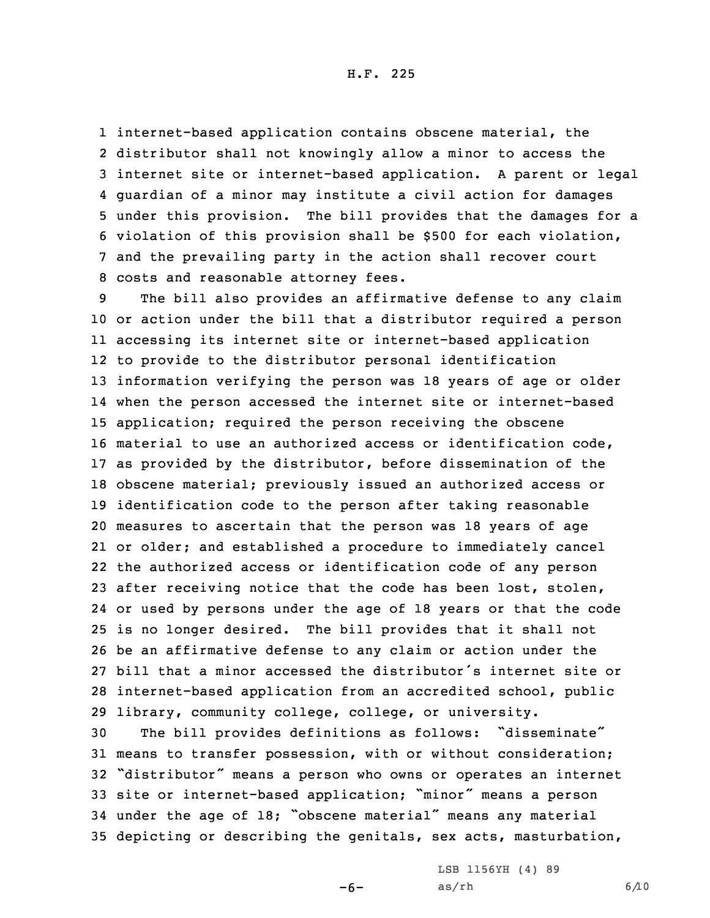H.F. 225

 internet-based application contains obscene material, the distributor shall not knowingly allow <sup>a</sup> minor to access the internet site or internet-based application. <sup>A</sup> parent or legal guardian of <sup>a</sup> minor may institute <sup>a</sup> civil action for damages under this provision. The bill provides that the damages for <sup>a</sup> violation of this provision shall be \$500 for each violation, and the prevailing party in the action shall recover court costs and reasonable attorney fees.

 The bill also provides an affirmative defense to any claim or action under the bill that <sup>a</sup> distributor required <sup>a</sup> person accessing its internet site or internet-based application to provide to the distributor personal identification information verifying the person was 18 years of age or older when the person accessed the internet site or internet-based application; required the person receiving the obscene material to use an authorized access or identification code, as provided by the distributor, before dissemination of the obscene material; previously issued an authorized access or identification code to the person after taking reasonable measures to ascertain that the person was 18 years of age or older; and established <sup>a</sup> procedure to immediately cancel the authorized access or identification code of any person after receiving notice that the code has been lost, stolen, or used by persons under the age of 18 years or that the code is no longer desired. The bill provides that it shall not be an affirmative defense to any claim or action under the bill that <sup>a</sup> minor accessed the distributor's internet site or internet-based application from an accredited school, public library, community college, college, or university.

 The bill provides definitions as follows: "disseminate" means to transfer possession, with or without consideration; "distributor" means <sup>a</sup> person who owns or operates an internet site or internet-based application; "minor" means <sup>a</sup> person under the age of 18; "obscene material" means any material depicting or describing the genitals, sex acts, masturbation,

 $-6-$ 

LSB 1156YH (4) 89 as/rh 6/10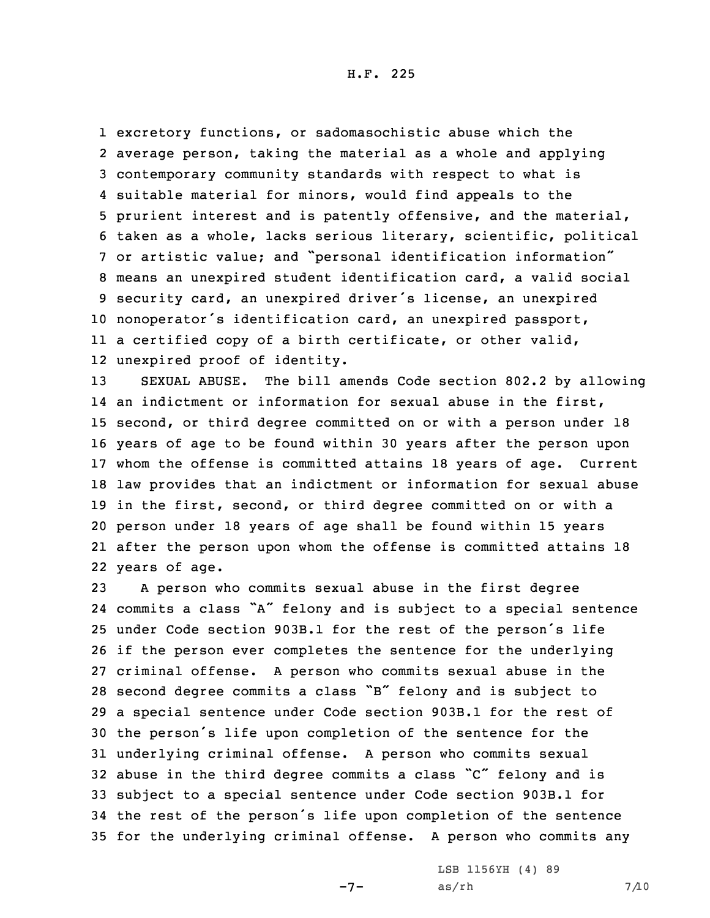H.F. 225

 excretory functions, or sadomasochistic abuse which the average person, taking the material as <sup>a</sup> whole and applying contemporary community standards with respect to what is suitable material for minors, would find appeals to the prurient interest and is patently offensive, and the material, taken as <sup>a</sup> whole, lacks serious literary, scientific, political or artistic value; and "personal identification information" means an unexpired student identification card, <sup>a</sup> valid social security card, an unexpired driver's license, an unexpired nonoperator's identification card, an unexpired passport, <sup>a</sup> certified copy of <sup>a</sup> birth certificate, or other valid, unexpired proof of identity.

 SEXUAL ABUSE. The bill amends Code section 802.2 by allowing an indictment or information for sexual abuse in the first, second, or third degree committed on or with <sup>a</sup> person under 18 years of age to be found within 30 years after the person upon whom the offense is committed attains 18 years of age. Current law provides that an indictment or information for sexual abuse in the first, second, or third degree committed on or with <sup>a</sup> person under 18 years of age shall be found within 15 years after the person upon whom the offense is committed attains 18 years of age.

 <sup>A</sup> person who commits sexual abuse in the first degree commits <sup>a</sup> class "A" felony and is subject to <sup>a</sup> special sentence under Code section 903B.1 for the rest of the person's life if the person ever completes the sentence for the underlying criminal offense. <sup>A</sup> person who commits sexual abuse in the second degree commits <sup>a</sup> class "B" felony and is subject to <sup>a</sup> special sentence under Code section 903B.1 for the rest of the person's life upon completion of the sentence for the underlying criminal offense. <sup>A</sup> person who commits sexual abuse in the third degree commits <sup>a</sup> class "C" felony and is subject to <sup>a</sup> special sentence under Code section 903B.1 for the rest of the person's life upon completion of the sentence for the underlying criminal offense. <sup>A</sup> person who commits any

 $-7-$ 

LSB 1156YH (4) 89  $as/rh$  7/10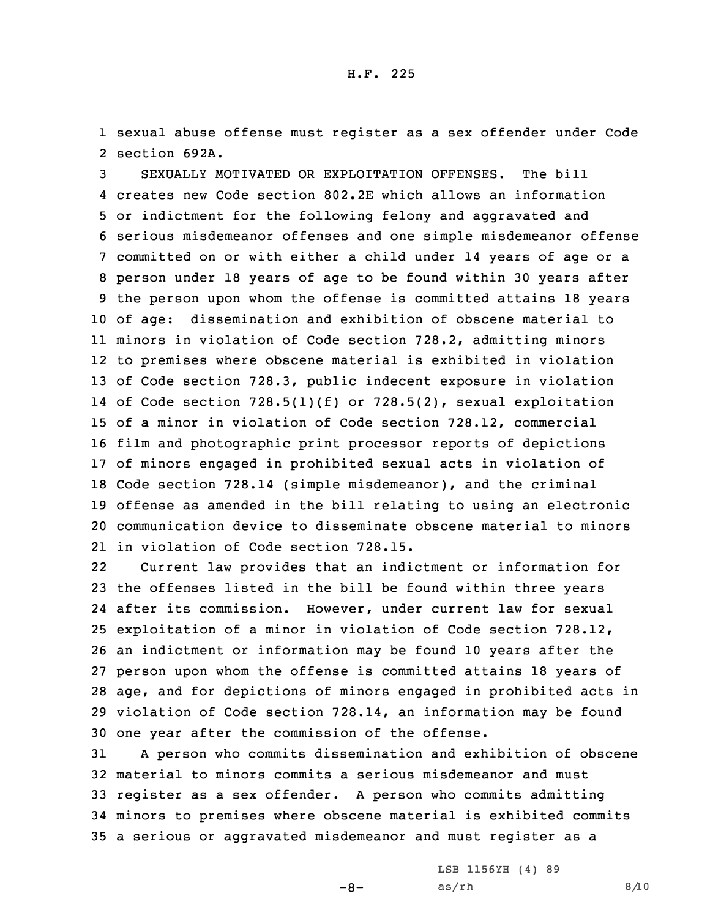1 sexual abuse offense must register as <sup>a</sup> sex offender under Code 2 section 692A.

 SEXUALLY MOTIVATED OR EXPLOITATION OFFENSES. The bill creates new Code section 802.2E which allows an information or indictment for the following felony and aggravated and serious misdemeanor offenses and one simple misdemeanor offense committed on or with either <sup>a</sup> child under 14 years of age or <sup>a</sup> person under 18 years of age to be found within 30 years after the person upon whom the offense is committed attains 18 years of age: dissemination and exhibition of obscene material to minors in violation of Code section 728.2, admitting minors to premises where obscene material is exhibited in violation of Code section 728.3, public indecent exposure in violation of Code section 728.5(1)(f) or 728.5(2), sexual exploitation of <sup>a</sup> minor in violation of Code section 728.12, commercial film and photographic print processor reports of depictions of minors engaged in prohibited sexual acts in violation of Code section 728.14 (simple misdemeanor), and the criminal offense as amended in the bill relating to using an electronic communication device to disseminate obscene material to minors in violation of Code section 728.15.

22 Current law provides that an indictment or information for the offenses listed in the bill be found within three years after its commission. However, under current law for sexual exploitation of <sup>a</sup> minor in violation of Code section 728.12, an indictment or information may be found 10 years after the person upon whom the offense is committed attains 18 years of age, and for depictions of minors engaged in prohibited acts in violation of Code section 728.14, an information may be found one year after the commission of the offense.

 <sup>A</sup> person who commits dissemination and exhibition of obscene material to minors commits <sup>a</sup> serious misdemeanor and must register as <sup>a</sup> sex offender. <sup>A</sup> person who commits admitting minors to premises where obscene material is exhibited commits <sup>a</sup> serious or aggravated misdemeanor and must register as <sup>a</sup>

 $-8-$ 

LSB 1156YH (4) 89  $as/rh$  8/10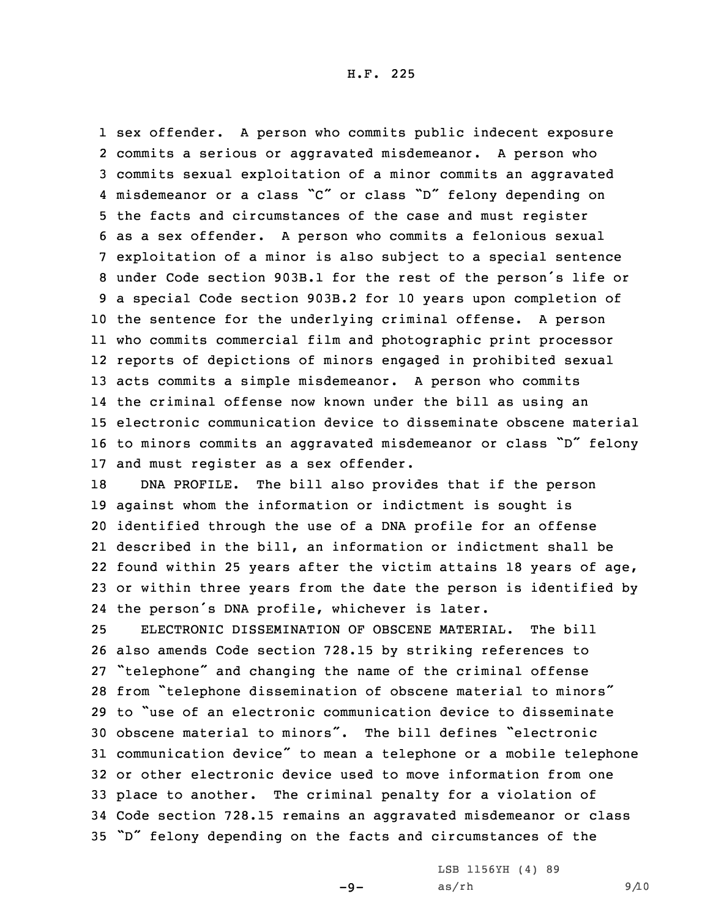sex offender. <sup>A</sup> person who commits public indecent exposure commits <sup>a</sup> serious or aggravated misdemeanor. <sup>A</sup> person who commits sexual exploitation of <sup>a</sup> minor commits an aggravated misdemeanor or <sup>a</sup> class "C" or class "D" felony depending on the facts and circumstances of the case and must register as <sup>a</sup> sex offender. <sup>A</sup> person who commits <sup>a</sup> felonious sexual exploitation of <sup>a</sup> minor is also subject to <sup>a</sup> special sentence under Code section 903B.1 for the rest of the person's life or <sup>a</sup> special Code section 903B.2 for 10 years upon completion of the sentence for the underlying criminal offense. <sup>A</sup> person who commits commercial film and photographic print processor reports of depictions of minors engaged in prohibited sexual acts commits <sup>a</sup> simple misdemeanor. <sup>A</sup> person who commits the criminal offense now known under the bill as using an electronic communication device to disseminate obscene material to minors commits an aggravated misdemeanor or class "D" felony and must register as <sup>a</sup> sex offender.

 DNA PROFILE. The bill also provides that if the person against whom the information or indictment is sought is identified through the use of <sup>a</sup> DNA profile for an offense described in the bill, an information or indictment shall be found within 25 years after the victim attains 18 years of age, or within three years from the date the person is identified by the person's DNA profile, whichever is later.

 ELECTRONIC DISSEMINATION OF OBSCENE MATERIAL. The bill also amends Code section 728.15 by striking references to "telephone" and changing the name of the criminal offense from "telephone dissemination of obscene material to minors" to "use of an electronic communication device to disseminate obscene material to minors". The bill defines "electronic communication device" to mean <sup>a</sup> telephone or <sup>a</sup> mobile telephone or other electronic device used to move information from one place to another. The criminal penalty for <sup>a</sup> violation of Code section 728.15 remains an aggravated misdemeanor or class "D" felony depending on the facts and circumstances of the

LSB 1156YH (4) 89

 $-9-$